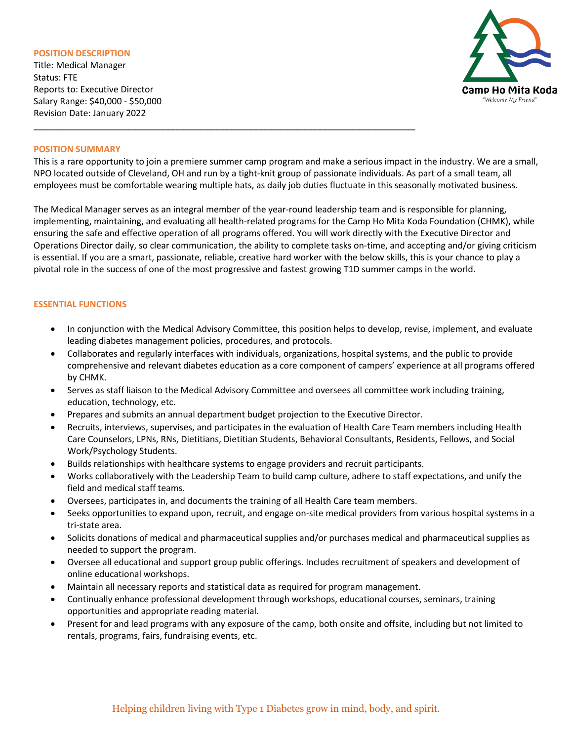#### **POSITION DESCRIPTION**

Title: Medical Manager Status: FTE Reports to: Executive Director Salary Range: \$40,000 - \$50,000 Revision Date: January 2022



#### **POSITION SUMMARY**

This is a rare opportunity to join a premiere summer camp program and make a serious impact in the industry. We are a small, NPO located outside of Cleveland, OH and run by a tight-knit group of passionate individuals. As part of a small team, all employees must be comfortable wearing multiple hats, as daily job duties fluctuate in this seasonally motivated business.

The Medical Manager serves as an integral member of the year-round leadership team and is responsible for planning, implementing, maintaining, and evaluating all health-related programs for the Camp Ho Mita Koda Foundation (CHMK), while ensuring the safe and effective operation of all programs offered. You will work directly with the Executive Director and Operations Director daily, so clear communication, the ability to complete tasks on-time, and accepting and/or giving criticism is essential. If you are a smart, passionate, reliable, creative hard worker with the below skills, this is your chance to play a pivotal role in the success of one of the most progressive and fastest growing T1D summer camps in the world.

## **ESSENTIAL FUNCTIONS**

- In conjunction with the Medical Advisory Committee, this position helps to develop, revise, implement, and evaluate leading diabetes management policies, procedures, and protocols.
- Collaborates and regularly interfaces with individuals, organizations, hospital systems, and the public to provide comprehensive and relevant diabetes education as a core component of campers' experience at all programs offered by CHMK.
- Serves as staff liaison to the Medical Advisory Committee and oversees all committee work including training, education, technology, etc.
- Prepares and submits an annual department budget projection to the Executive Director.

\_\_\_\_\_\_\_\_\_\_\_\_\_\_\_\_\_\_\_\_\_\_\_\_\_\_\_\_\_\_\_\_\_\_\_\_\_\_\_\_\_\_\_\_\_\_\_\_\_\_\_\_\_\_\_\_\_\_\_\_\_\_\_\_\_\_\_\_\_\_\_\_\_\_\_\_\_\_

- Recruits, interviews, supervises, and participates in the evaluation of Health Care Team members including Health Care Counselors, LPNs, RNs, Dietitians, Dietitian Students, Behavioral Consultants, Residents, Fellows, and Social Work/Psychology Students.
- Builds relationships with healthcare systems to engage providers and recruit participants.
- Works collaboratively with the Leadership Team to build camp culture, adhere to staff expectations, and unify the field and medical staff teams.
- Oversees, participates in, and documents the training of all Health Care team members.
- Seeks opportunities to expand upon, recruit, and engage on-site medical providers from various hospital systems in a tri-state area.
- Solicits donations of medical and pharmaceutical supplies and/or purchases medical and pharmaceutical supplies as needed to support the program.
- Oversee all educational and support group public offerings. Includes recruitment of speakers and development of online educational workshops.
- Maintain all necessary reports and statistical data as required for program management.
- Continually enhance professional development through workshops, educational courses, seminars, training opportunities and appropriate reading material.
- Present for and lead programs with any exposure of the camp, both onsite and offsite, including but not limited to rentals, programs, fairs, fundraising events, etc.